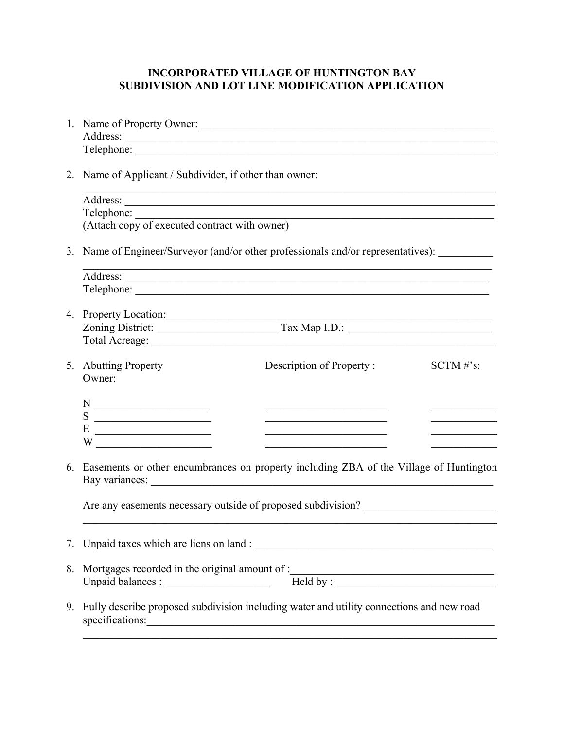## **INCORPORATED VILLAGE OF HUNTINGTON BAY SUBDIVISION AND LOT LINE MODIFICATION APPLICATION**

|    | 1. Name of Property Owner:                                                                                                                                                                                                                                                                                                                                             |                                                                                 |  |                                              |  |
|----|------------------------------------------------------------------------------------------------------------------------------------------------------------------------------------------------------------------------------------------------------------------------------------------------------------------------------------------------------------------------|---------------------------------------------------------------------------------|--|----------------------------------------------|--|
|    |                                                                                                                                                                                                                                                                                                                                                                        |                                                                                 |  |                                              |  |
|    | Telephone:                                                                                                                                                                                                                                                                                                                                                             |                                                                                 |  |                                              |  |
|    | 2. Name of Applicant / Subdivider, if other than owner:                                                                                                                                                                                                                                                                                                                |                                                                                 |  |                                              |  |
|    |                                                                                                                                                                                                                                                                                                                                                                        |                                                                                 |  |                                              |  |
|    |                                                                                                                                                                                                                                                                                                                                                                        |                                                                                 |  |                                              |  |
|    | Telephone:<br>(Attach copy of executed contract with owner)                                                                                                                                                                                                                                                                                                            |                                                                                 |  |                                              |  |
|    | 3. Name of Engineer/Surveyor (and/or other professionals and/or representatives):                                                                                                                                                                                                                                                                                      |                                                                                 |  |                                              |  |
|    |                                                                                                                                                                                                                                                                                                                                                                        |                                                                                 |  |                                              |  |
|    |                                                                                                                                                                                                                                                                                                                                                                        |                                                                                 |  |                                              |  |
|    | 4. Property Location:                                                                                                                                                                                                                                                                                                                                                  |                                                                                 |  |                                              |  |
|    |                                                                                                                                                                                                                                                                                                                                                                        | Zoning District: Tax Map I.D.:                                                  |  |                                              |  |
|    |                                                                                                                                                                                                                                                                                                                                                                        |                                                                                 |  |                                              |  |
|    |                                                                                                                                                                                                                                                                                                                                                                        |                                                                                 |  |                                              |  |
|    | 5. Abutting Property<br>Owner:                                                                                                                                                                                                                                                                                                                                         | Description of Property:                                                        |  | $SCTM \# s$ :                                |  |
|    |                                                                                                                                                                                                                                                                                                                                                                        |                                                                                 |  |                                              |  |
|    | $N \longrightarrow$                                                                                                                                                                                                                                                                                                                                                    | the contract of the contract of the contract of the contract of the contract of |  | the control of the control of the control of |  |
|    | $E \begin{tabular}{c} \multicolumn{2}{c} {\textbf{E}} \end{tabular}$                                                                                                                                                                                                                                                                                                   | the control of the control of the control of the control of the control of      |  |                                              |  |
|    | W $\qquad \qquad \qquad$ $\qquad \qquad$ $\qquad \qquad$ $\qquad \qquad$ $\qquad \qquad$ $\qquad$ $\qquad \qquad$ $\qquad$ $\qquad \qquad$ $\qquad$ $\qquad$ $\qquad$ $\qquad$ $\qquad$ $\qquad$ $\qquad$ $\qquad$ $\qquad$ $\qquad$ $\qquad$ $\qquad$ $\qquad$ $\qquad$ $\qquad$ $\qquad$ $\qquad$ $\qquad$ $\qquad$ $\qquad$ $\qquad$ $\qquad$ $\qquad$ $\q$         |                                                                                 |  |                                              |  |
|    | 6. Easements or other encumbrances on property including ZBA of the Village of Huntington                                                                                                                                                                                                                                                                              |                                                                                 |  |                                              |  |
|    | Are any easements necessary outside of proposed subdivision?                                                                                                                                                                                                                                                                                                           |                                                                                 |  |                                              |  |
|    |                                                                                                                                                                                                                                                                                                                                                                        |                                                                                 |  |                                              |  |
|    |                                                                                                                                                                                                                                                                                                                                                                        |                                                                                 |  |                                              |  |
|    | 8. Mortgages recorded in the original amount of :<br>Unpaid balances :<br>$\frac{1}{\sqrt{1-\frac{1}{\sqrt{1-\frac{1}{\sqrt{1-\frac{1}{\sqrt{1-\frac{1}{\sqrt{1-\frac{1}{\sqrt{1-\frac{1}{\sqrt{1-\frac{1}{\sqrt{1-\frac{1}{\sqrt{1-\frac{1}{\sqrt{1-\frac{1}{\sqrt{1-\frac{1}{\sqrt{1-\frac{1}{\sqrt{1-\frac{1}{\sqrt{1-\frac{1}{\sqrt{1-\frac{1}{\sqrt{1-\frac{1}{\$ |                                                                                 |  |                                              |  |
|    |                                                                                                                                                                                                                                                                                                                                                                        |                                                                                 |  |                                              |  |
| 9. | Fully describe proposed subdivision including water and utility connections and new road<br>specifications:                                                                                                                                                                                                                                                            |                                                                                 |  |                                              |  |
|    |                                                                                                                                                                                                                                                                                                                                                                        |                                                                                 |  |                                              |  |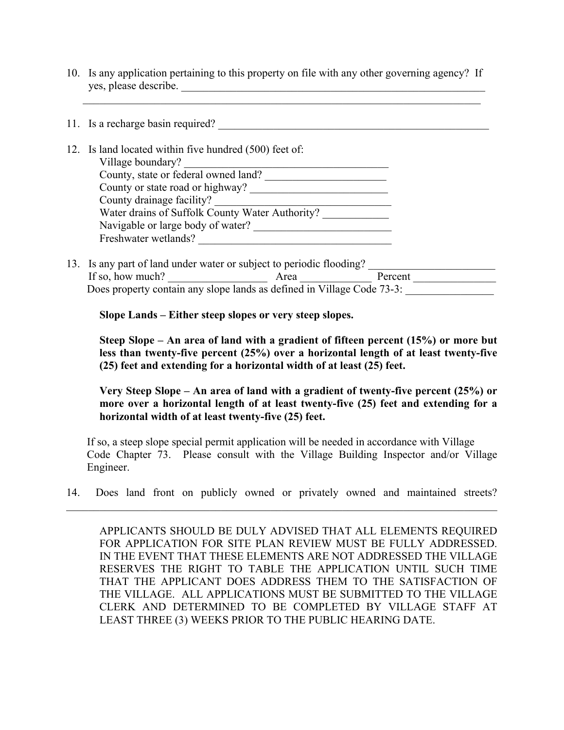10. Is any application pertaining to this property on file with any other governing agency? If yes, please describe.

 $\mathcal{L}_\text{max}$  , and the contribution of the contribution of the contribution of the contribution of the contribution of the contribution of the contribution of the contribution of the contribution of the contribution of t

|  | 11. Is a recharge basin required?                      |
|--|--------------------------------------------------------|
|  |                                                        |
|  | 12. Is land located within five hundred (500) feet of: |
|  | Village boundary?                                      |
|  | County, state or federal owned land?                   |
|  | County or state road or highway?                       |
|  | County drainage facility?                              |
|  | Water drains of Suffolk County Water Authority?        |
|  | Navigable or large body of water?                      |
|  | Freshwater wetlands?                                   |
|  |                                                        |

13. Is any part of land under water or subject to periodic flooding? If so, how much? Area **Area** Percent Does property contain any slope lands as defined in Village Code 73-3:

**Slope Lands – Either steep slopes or very steep slopes.** 

**Steep Slope – An area of land with a gradient of fifteen percent (15%) or more but less than twenty-five percent (25%) over a horizontal length of at least twenty-five (25) feet and extending for a horizontal width of at least (25) feet.** 

**Very Steep Slope – An area of land with a gradient of twenty-five percent (25%) or more over a horizontal length of at least twenty-five (25) feet and extending for a horizontal width of at least twenty-five (25) feet.** 

 If so, a steep slope special permit application will be needed in accordance with Village Code Chapter 73. Please consult with the Village Building Inspector and/or Village Engineer.

14. Does land front on publicly owned or privately owned and maintained streets?  $\mathcal{L}_\mathcal{L} = \mathcal{L}_\mathcal{L} = \mathcal{L}_\mathcal{L} = \mathcal{L}_\mathcal{L} = \mathcal{L}_\mathcal{L} = \mathcal{L}_\mathcal{L} = \mathcal{L}_\mathcal{L} = \mathcal{L}_\mathcal{L} = \mathcal{L}_\mathcal{L} = \mathcal{L}_\mathcal{L} = \mathcal{L}_\mathcal{L} = \mathcal{L}_\mathcal{L} = \mathcal{L}_\mathcal{L} = \mathcal{L}_\mathcal{L} = \mathcal{L}_\mathcal{L} = \mathcal{L}_\mathcal{L} = \mathcal{L}_\mathcal{L}$ 

APPLICANTS SHOULD BE DULY ADVISED THAT ALL ELEMENTS REQUIRED FOR APPLICATION FOR SITE PLAN REVIEW MUST BE FULLY ADDRESSED. IN THE EVENT THAT THESE ELEMENTS ARE NOT ADDRESSED THE VILLAGE RESERVES THE RIGHT TO TABLE THE APPLICATION UNTIL SUCH TIME THAT THE APPLICANT DOES ADDRESS THEM TO THE SATISFACTION OF THE VILLAGE. ALL APPLICATIONS MUST BE SUBMITTED TO THE VILLAGE CLERK AND DETERMINED TO BE COMPLETED BY VILLAGE STAFF AT LEAST THREE (3) WEEKS PRIOR TO THE PUBLIC HEARING DATE.